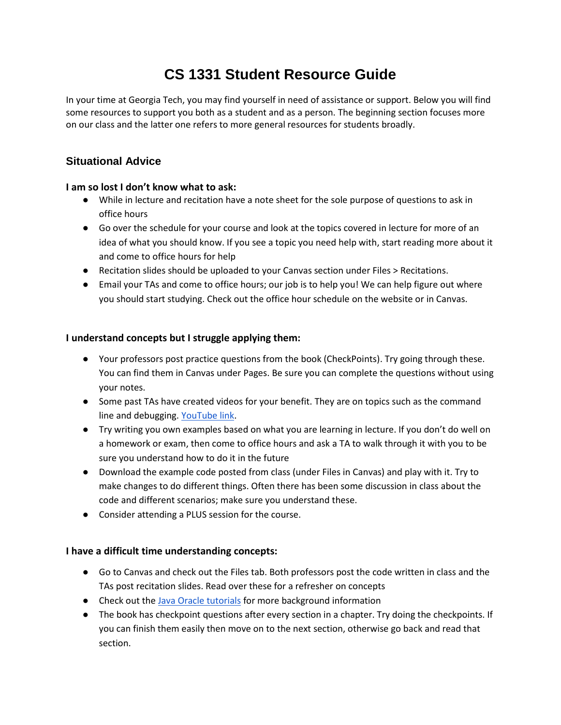# **CS 1331 Student Resource Guide**

In your time at Georgia Tech, you may find yourself in need of assistance or support. Below you will find some resources to support you both as a student and as a person. The beginning section focuses more on our class and the latter one refers to more general resources for students broadly.

# **Situational Advice**

#### **I am so lost I don't know what to ask:**

- While in lecture and recitation have a note sheet for the sole purpose of questions to ask in office hours
- Go over the schedule for your course and look at the topics covered in lecture for more of an idea of what you should know. If you see a topic you need help with, start reading more about it and come to office hours for help
- Recitation slides should be uploaded to your Canvas section under Files > Recitations.
- Email your TAs and come to office hours; our job is to help you! We can help figure out where you should start studying. Check out the office hour schedule on the website or in Canvas.

#### **I understand concepts but I struggle applying them:**

- Your professors post practice questions from the book (CheckPoints). Try going through these. You can find them in Canvas under Pages. Be sure you can complete the questions without using your notes.
- Some past TAs have created videos for your benefit. They are on topics such as the command line and debugging. [YouTube link.](https://www.youtube.com/watch?v=6X2lh4e7duA&list=PLbj6GvVmPvFKiSvCOsCx3MhFrorYc1hWO)
- Try writing you own examples based on what you are learning in lecture. If you don't do well on a homework or exam, then come to office hours and ask a TA to walk through it with you to be sure you understand how to do it in the future
- Download the example code posted from class (under Files in Canvas) and play with it. Try to make changes to do different things. Often there has been some discussion in class about the code and different scenarios; make sure you understand these.
- Consider attending a PLUS session for the course.

#### **I have a difficult time understanding concepts:**

- Go to Canvas and check out the Files tab. Both professors post the code written in class and the TAs post recitation slides. Read over these for a refresher on concepts
- Check out th[e Java Oracle tutorials](https://docs.oracle.com/javase/tutorial/) for more background information
- The book has checkpoint questions after every section in a chapter. Try doing the checkpoints. If you can finish them easily then move on to the next section, otherwise go back and read that section.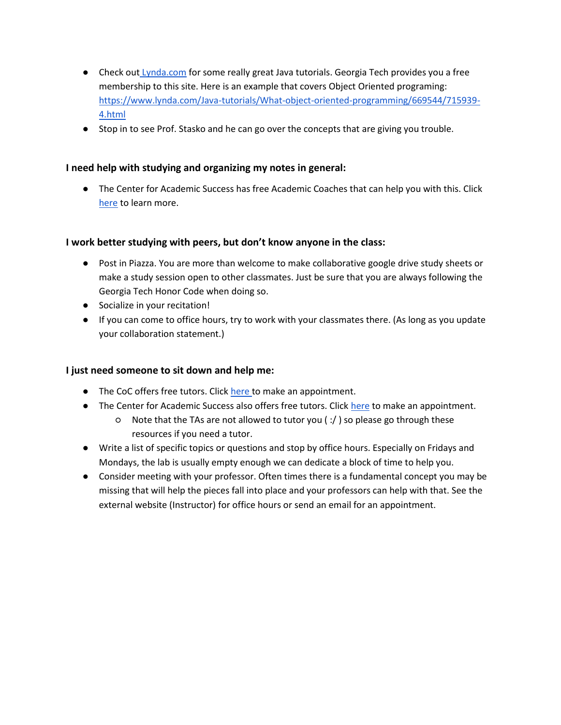- Check out [Lynda.com](http://lynda.gatech.edu/) for some really great Java tutorials. Georgia Tech provides you a free membership to this site. Here is an example that covers Object Oriented programing: [https://www.lynda.com/Java-tutorials/What-object-oriented-programming/669544/715939-](https://www.lynda.com/Java-tutorials/What-object-oriented-programming/669544/715939-4.html) [4.html](https://www.lynda.com/Java-tutorials/What-object-oriented-programming/669544/715939-4.html)
- Stop in to see Prof. Stasko and he can go over the concepts that are giving you trouble.

#### **I need help with studying and organizing my notes in general:**

● The Center for Academic Success has free Academic Coaches that can help you with this. Click [here](http://www.success.gatech.edu/academic-coaching) to learn more.

#### **I work better studying with peers, but don't know anyone in the class:**

- Post in Piazza. You are more than welcome to make collaborative google drive study sheets or make a study session open to other classmates. Just be sure that you are always following the Georgia Tech Honor Code when doing so.
- Socialize in your recitation!
- If you can come to office hours, try to work with your classmates there. (As long as you update your collaboration statement.)

#### **I just need someone to sit down and help me:**

- **•** The CoC offers free tutors. Click [here t](https://www.cc.gatech.edu/form/cs-tutor-request)o make an appointment.
- The Center for Academic Success also offers free tutors. Click [here](http://success.gatech.edu/1-1-tutoring-0) to make an appointment.
	- Note that the TAs are not allowed to tutor you ( :/ ) so please go through these resources if you need a tutor.
- Write a list of specific topics or questions and stop by office hours. Especially on Fridays and Mondays, the lab is usually empty enough we can dedicate a block of time to help you.
- Consider meeting with your professor. Often times there is a fundamental concept you may be missing that will help the pieces fall into place and your professors can help with that. See the external website (Instructor) for office hours or send an email for an appointment.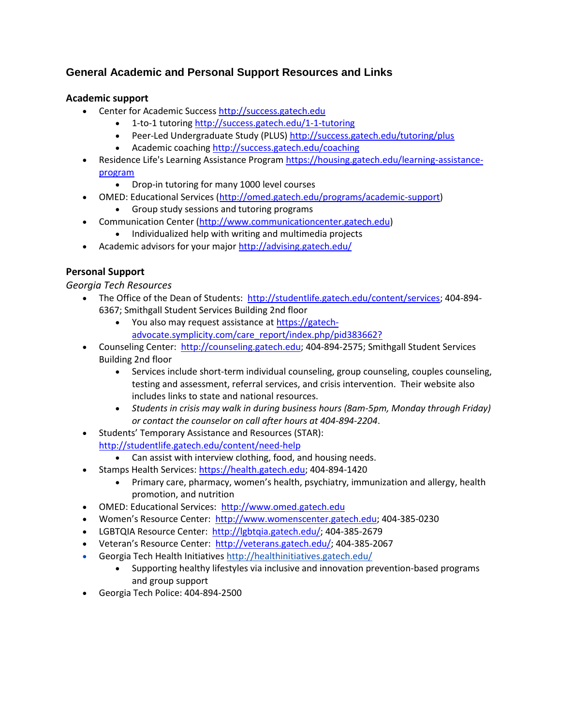# **General Academic and Personal Support Resources and Links**

## **Academic support**

- Center for Academic Success [http://success.gatech.edu](http://success.gatech.edu/)
	- 1-to-1 tutorin[g http://success.gatech.edu/1-1-tutoring](http://success.gatech.edu/1-1-tutoring)
	- Peer-Led Undergraduate Study (PLUS)<http://success.gatech.edu/tutoring/plus>
	- Academic coaching<http://success.gatech.edu/coaching>
- Residence Life's Learning Assistance Program [https://housing.gatech.edu/learning-assistance](https://housing.gatech.edu/learning-assistance-program)[program](https://housing.gatech.edu/learning-assistance-program)
	- Drop-in tutoring for many 1000 level courses
- OMED: Educational Services [\(http://omed.gatech.edu/programs/academic-support\)](http://omed.gatech.edu/programs/academic-support) • Group study sessions and tutoring programs
- Communication Center [\(http://www.communicationcenter.gatech.edu\)](http://www.communicationcenter.gatech.edu/)
	- Individualized help with writing and multimedia projects
- Academic advisors for your major<http://advising.gatech.edu/>

## **Personal Support**

*Georgia Tech Resources*

- The Office of the Dean of Students: [http://studentlife.gatech.edu/content/services;](http://studentlife.gatech.edu/content/services) 404-894- 6367; Smithgall Student Services Building 2nd floor
	- You also may request assistance a[t https://gatech](https://gatech-advocate.symplicity.com/care_report/index.php/pid383662?)[advocate.symplicity.com/care\\_report/index.php/pid383662?](https://gatech-advocate.symplicity.com/care_report/index.php/pid383662?)
- Counseling Center: [http://counseling.gatech.edu;](http://counseling.gatech.edu/) 404-894-2575; Smithgall Student Services Building 2nd floor
	- Services include short-term individual counseling, group counseling, couples counseling, testing and assessment, referral services, and crisis intervention. Their website also includes links to state and national resources.
	- *Students in crisis may walk in during business hours (8am-5pm, Monday through Friday) or contact the counselor on call after hours at 404-894-2204*.
- Students' Temporary Assistance and Resources (STAR): <http://studentlife.gatech.edu/content/need-help>
	- Can assist with interview clothing, food, and housing needs.
- Stamps Health Services: [https://health.gatech.edu;](https://health.gatech.edu/) 404-894-1420
	- Primary care, pharmacy, women's health, psychiatry, immunization and allergy, health promotion, and nutrition
- OMED: Educational Services: [http://www.omed.gatech.edu](http://www.omed.gatech.edu/)
- Women's Resource Center: [http://www.womenscenter.gatech.edu;](http://www.womenscenter.gatech.edu/) 404-385-0230
- LGBTQIA Resource Center: [http://lgbtqia.gatech.edu/;](http://lgbtqia.gatech.edu/) 404-385-2679
- Veteran's Resource Center: [http://veterans.gatech.edu/;](http://veterans.gatech.edu/) 404-385-2067
- Georgia Tech Health Initiatives<http://healthinitiatives.gatech.edu/>
	- Supporting healthy lifestyles via inclusive and innovation prevention-based programs and group support
- Georgia Tech Police: 404-894-2500